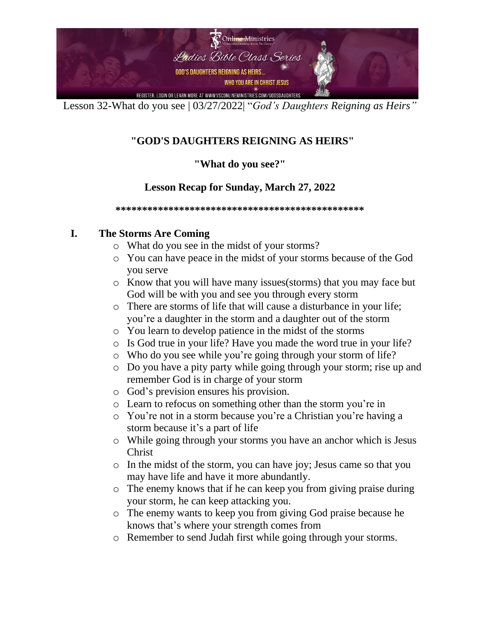

### **"GOD'S DAUGHTERS REIGNING AS HEIRS"**

### **"What do you see?"**

### **Lesson Recap for Sunday, March 27, 2022**

**\*\*\*\*\*\*\*\*\*\*\*\*\*\*\*\*\*\*\*\*\*\*\*\*\*\*\*\*\*\*\*\*\*\*\*\*\*\*\*\*\*\*\*\*\*\*\*** 

### **I. The Storms Are Coming**

- o What do you see in the midst of your storms?
- o You can have peace in the midst of your storms because of the God you serve
- o Know that you will have many issues(storms) that you may face but God will be with you and see you through every storm
- o There are storms of life that will cause a disturbance in your life; you're a daughter in the storm and a daughter out of the storm
- o You learn to develop patience in the midst of the storms
- o Is God true in your life? Have you made the word true in your life?
- o Who do you see while you're going through your storm of life?
- o Do you have a pity party while going through your storm; rise up and remember God is in charge of your storm
- o God's prevision ensures his provision.
- o Learn to refocus on something other than the storm you're in
- o You're not in a storm because you're a Christian you're having a storm because it's a part of life
- o While going through your storms you have an anchor which is Jesus Christ
- o In the midst of the storm, you can have joy; Jesus came so that you may have life and have it more abundantly.
- o The enemy knows that if he can keep you from giving praise during your storm, he can keep attacking you.
- o The enemy wants to keep you from giving God praise because he knows that's where your strength comes from
- o Remember to send Judah first while going through your storms.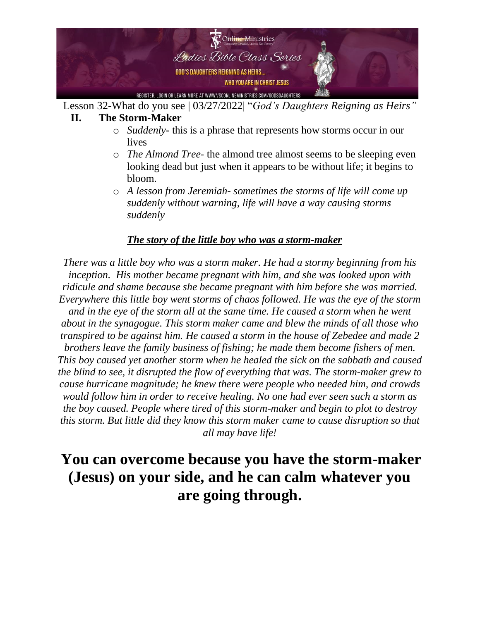

#### **II. The Storm-Maker**

- o *Suddenly***-** this is a phrase that represents how storms occur in our lives
- o *The Almond Tree-* the almond tree almost seems to be sleeping even looking dead but just when it appears to be without life; it begins to bloom.
- o *A lesson from Jeremiah- sometimes the storms of life will come up suddenly without warning, life will have a way causing storms suddenly*

#### *The story of the little boy who was a storm-maker*

*There was a little boy who was a storm maker. He had a stormy beginning from his inception. His mother became pregnant with him, and she was looked upon with ridicule and shame because she became pregnant with him before she was married. Everywhere this little boy went storms of chaos followed. He was the eye of the storm and in the eye of the storm all at the same time. He caused a storm when he went about in the synagogue. This storm maker came and blew the minds of all those who transpired to be against him. He caused a storm in the house of Zebedee and made 2 brothers leave the family business of fishing; he made them become fishers of men. This boy caused yet another storm when he healed the sick on the sabbath and caused the blind to see, it disrupted the flow of everything that was. The storm-maker grew to cause hurricane magnitude; he knew there were people who needed him, and crowds would follow him in order to receive healing. No one had ever seen such a storm as the boy caused. People where tired of this storm-maker and begin to plot to destroy this storm. But little did they know this storm maker came to cause disruption so that all may have life!* 

### **You can overcome because you have the storm-maker (Jesus) on your side, and he can calm whatever you are going through.**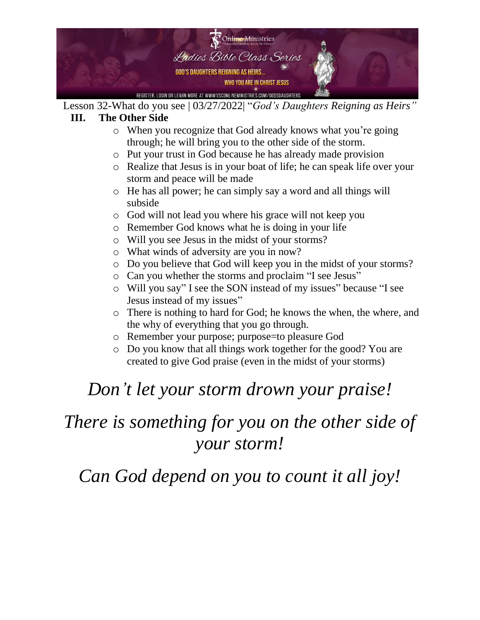

### **III. The Other Side**

- o When you recognize that God already knows what you're going through; he will bring you to the other side of the storm.
- o Put your trust in God because he has already made provision
- o Realize that Jesus is in your boat of life; he can speak life over your storm and peace will be made
- o He has all power; he can simply say a word and all things will subside
- o God will not lead you where his grace will not keep you
- o Remember God knows what he is doing in your life
- o Will you see Jesus in the midst of your storms?
- o What winds of adversity are you in now?
- o Do you believe that God will keep you in the midst of your storms?
- o Can you whether the storms and proclaim "I see Jesus"
- o Will you say" I see the SON instead of my issues" because "I see Jesus instead of my issues"
- o There is nothing to hard for God; he knows the when, the where, and the why of everything that you go through.
- o Remember your purpose; purpose=to pleasure God
- o Do you know that all things work together for the good? You are created to give God praise (even in the midst of your storms)

# *Don't let your storm drown your praise!*

# *There is something for you on the other side of your storm!*

*Can God depend on you to count it all joy!*